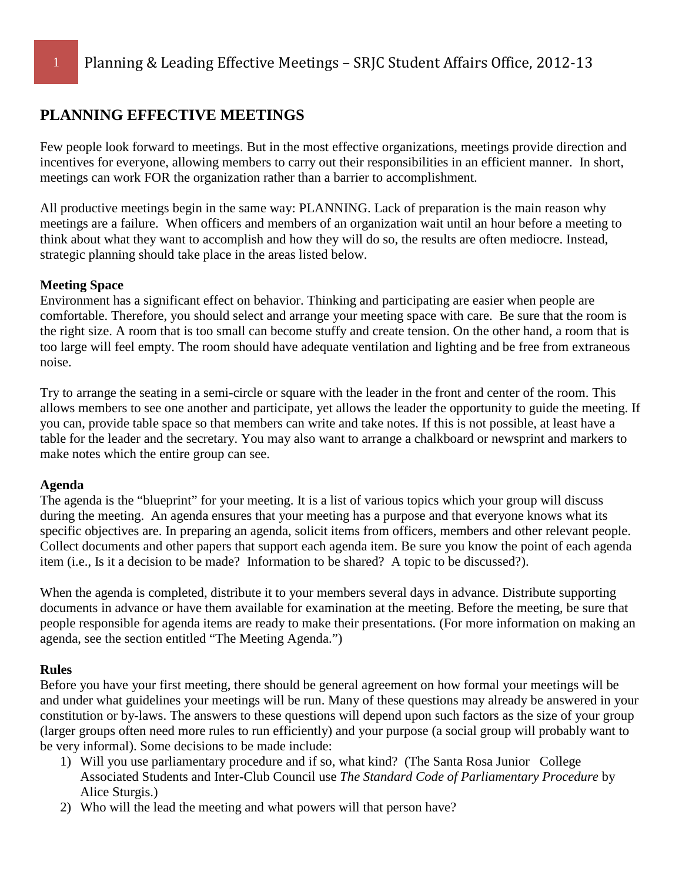# **PLANNING EFFECTIVE MEETINGS**

Few people look forward to meetings. But in the most effective organizations, meetings provide direction and incentives for everyone, allowing members to carry out their responsibilities in an efficient manner. In short, meetings can work FOR the organization rather than a barrier to accomplishment.

All productive meetings begin in the same way: PLANNING. Lack of preparation is the main reason why meetings are a failure. When officers and members of an organization wait until an hour before a meeting to think about what they want to accomplish and how they will do so, the results are often mediocre. Instead, strategic planning should take place in the areas listed below.

### **Meeting Space**

Environment has a significant effect on behavior. Thinking and participating are easier when people are comfortable. Therefore, you should select and arrange your meeting space with care. Be sure that the room is the right size. A room that is too small can become stuffy and create tension. On the other hand, a room that is too large will feel empty. The room should have adequate ventilation and lighting and be free from extraneous noise.

Try to arrange the seating in a semi-circle or square with the leader in the front and center of the room. This allows members to see one another and participate, yet allows the leader the opportunity to guide the meeting. If you can, provide table space so that members can write and take notes. If this is not possible, at least have a table for the leader and the secretary. You may also want to arrange a chalkboard or newsprint and markers to make notes which the entire group can see.

#### **Agenda**

The agenda is the "blueprint" for your meeting. It is a list of various topics which your group will discuss during the meeting. An agenda ensures that your meeting has a purpose and that everyone knows what its specific objectives are. In preparing an agenda, solicit items from officers, members and other relevant people. Collect documents and other papers that support each agenda item. Be sure you know the point of each agenda item (i.e., Is it a decision to be made? Information to be shared? A topic to be discussed?).

When the agenda is completed, distribute it to your members several days in advance. Distribute supporting documents in advance or have them available for examination at the meeting. Before the meeting, be sure that people responsible for agenda items are ready to make their presentations. (For more information on making an agenda, see the section entitled "The Meeting Agenda.")

## **Rules**

Before you have your first meeting, there should be general agreement on how formal your meetings will be and under what guidelines your meetings will be run. Many of these questions may already be answered in your constitution or by-laws. The answers to these questions will depend upon such factors as the size of your group (larger groups often need more rules to run efficiently) and your purpose (a social group will probably want to be very informal). Some decisions to be made include:

- 1) Will you use parliamentary procedure and if so, what kind? (The Santa Rosa Junior College Associated Students and Inter-Club Council use *The Standard Code of Parliamentary Procedure* by Alice Sturgis.)
- 2) Who will the lead the meeting and what powers will that person have?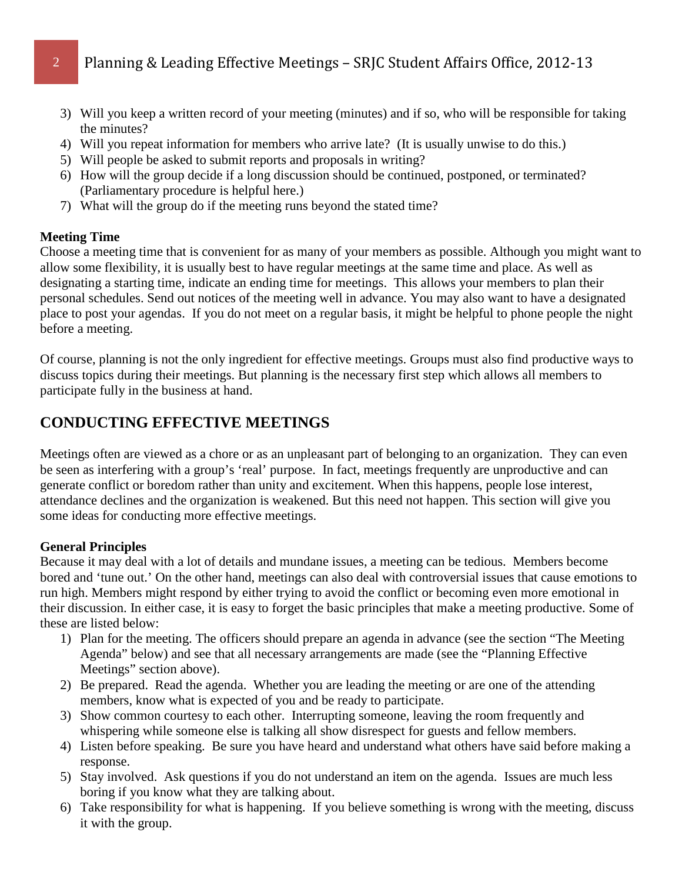# 2 Planning & Leading Effective Meetings – SRJC Student Affairs Office, 2012-13

- 3) Will you keep a written record of your meeting (minutes) and if so, who will be responsible for taking the minutes?
- 4) Will you repeat information for members who arrive late? (It is usually unwise to do this.)
- 5) Will people be asked to submit reports and proposals in writing?
- 6) How will the group decide if a long discussion should be continued, postponed, or terminated? (Parliamentary procedure is helpful here.)
- 7) What will the group do if the meeting runs beyond the stated time?

## **Meeting Time**

Choose a meeting time that is convenient for as many of your members as possible. Although you might want to allow some flexibility, it is usually best to have regular meetings at the same time and place. As well as designating a starting time, indicate an ending time for meetings. This allows your members to plan their personal schedules. Send out notices of the meeting well in advance. You may also want to have a designated place to post your agendas. If you do not meet on a regular basis, it might be helpful to phone people the night before a meeting.

Of course, planning is not the only ingredient for effective meetings. Groups must also find productive ways to discuss topics during their meetings. But planning is the necessary first step which allows all members to participate fully in the business at hand.

# **CONDUCTING EFFECTIVE MEETINGS**

Meetings often are viewed as a chore or as an unpleasant part of belonging to an organization. They can even be seen as interfering with a group's 'real' purpose. In fact, meetings frequently are unproductive and can generate conflict or boredom rather than unity and excitement. When this happens, people lose interest, attendance declines and the organization is weakened. But this need not happen. This section will give you some ideas for conducting more effective meetings.

## **General Principles**

Because it may deal with a lot of details and mundane issues, a meeting can be tedious. Members become bored and 'tune out.' On the other hand, meetings can also deal with controversial issues that cause emotions to run high. Members might respond by either trying to avoid the conflict or becoming even more emotional in their discussion. In either case, it is easy to forget the basic principles that make a meeting productive. Some of these are listed below:

- 1) Plan for the meeting. The officers should prepare an agenda in advance (see the section "The Meeting Agenda" below) and see that all necessary arrangements are made (see the "Planning Effective Meetings" section above).
- 2) Be prepared. Read the agenda. Whether you are leading the meeting or are one of the attending members, know what is expected of you and be ready to participate.
- 3) Show common courtesy to each other. Interrupting someone, leaving the room frequently and whispering while someone else is talking all show disrespect for guests and fellow members.
- 4) Listen before speaking. Be sure you have heard and understand what others have said before making a response.
- 5) Stay involved. Ask questions if you do not understand an item on the agenda. Issues are much less boring if you know what they are talking about.
- 6) Take responsibility for what is happening. If you believe something is wrong with the meeting, discuss it with the group.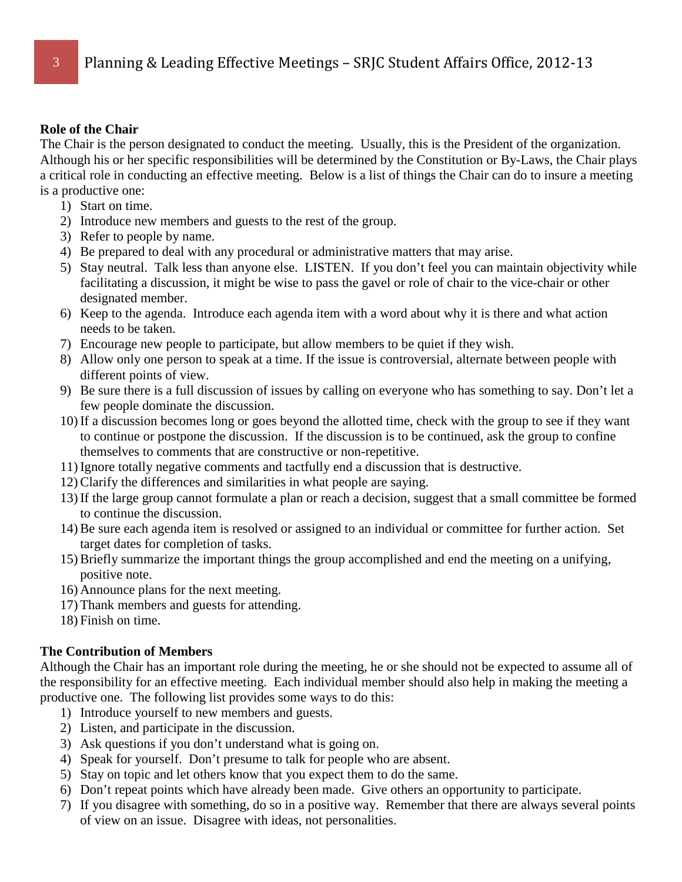## **Role of the Chair**

The Chair is the person designated to conduct the meeting. Usually, this is the President of the organization. Although his or her specific responsibilities will be determined by the Constitution or By-Laws, the Chair plays a critical role in conducting an effective meeting. Below is a list of things the Chair can do to insure a meeting is a productive one:

- 1) Start on time.
- 2) Introduce new members and guests to the rest of the group.
- 3) Refer to people by name.
- 4) Be prepared to deal with any procedural or administrative matters that may arise.
- 5) Stay neutral. Talk less than anyone else. LISTEN. If you don't feel you can maintain objectivity while facilitating a discussion, it might be wise to pass the gavel or role of chair to the vice-chair or other designated member.
- 6) Keep to the agenda. Introduce each agenda item with a word about why it is there and what action needs to be taken.
- 7) Encourage new people to participate, but allow members to be quiet if they wish.
- 8) Allow only one person to speak at a time. If the issue is controversial, alternate between people with different points of view.
- 9) Be sure there is a full discussion of issues by calling on everyone who has something to say. Don't let a few people dominate the discussion.
- 10) If a discussion becomes long or goes beyond the allotted time, check with the group to see if they want to continue or postpone the discussion. If the discussion is to be continued, ask the group to confine themselves to comments that are constructive or non-repetitive.
- 11) Ignore totally negative comments and tactfully end a discussion that is destructive.
- 12) Clarify the differences and similarities in what people are saying.
- 13) If the large group cannot formulate a plan or reach a decision, suggest that a small committee be formed to continue the discussion.
- 14) Be sure each agenda item is resolved or assigned to an individual or committee for further action. Set target dates for completion of tasks.
- 15) Briefly summarize the important things the group accomplished and end the meeting on a unifying, positive note.
- 16) Announce plans for the next meeting.
- 17) Thank members and guests for attending.
- 18) Finish on time.

## **The Contribution of Members**

Although the Chair has an important role during the meeting, he or she should not be expected to assume all of the responsibility for an effective meeting. Each individual member should also help in making the meeting a productive one. The following list provides some ways to do this:

- 1) Introduce yourself to new members and guests.
- 2) Listen, and participate in the discussion.
- 3) Ask questions if you don't understand what is going on.
- 4) Speak for yourself. Don't presume to talk for people who are absent.
- 5) Stay on topic and let others know that you expect them to do the same.
- 6) Don't repeat points which have already been made. Give others an opportunity to participate.
- 7) If you disagree with something, do so in a positive way. Remember that there are always several points of view on an issue. Disagree with ideas, not personalities.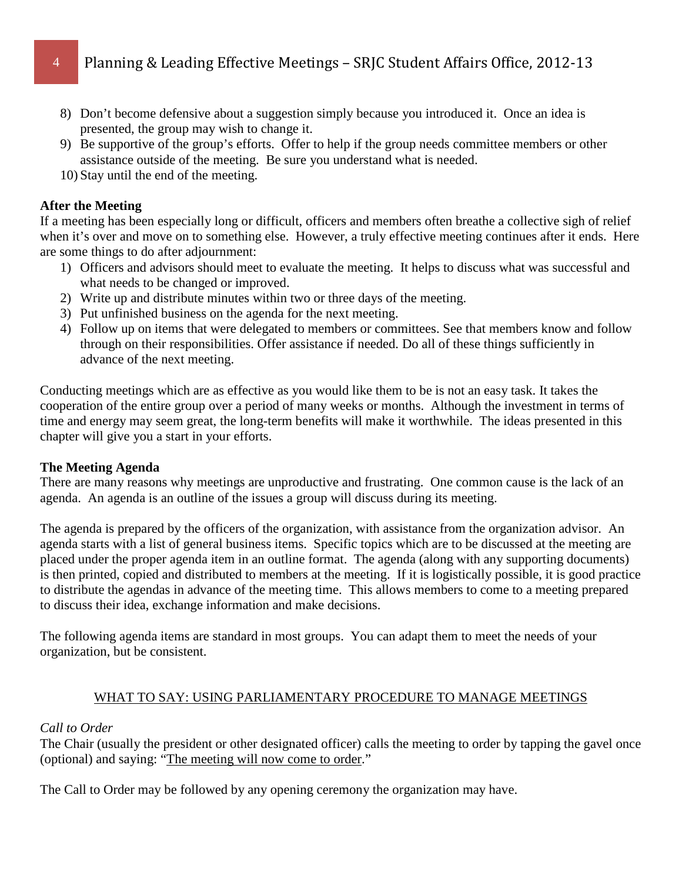- 8) Don't become defensive about a suggestion simply because you introduced it. Once an idea is presented, the group may wish to change it.
- 9) Be supportive of the group's efforts. Offer to help if the group needs committee members or other assistance outside of the meeting. Be sure you understand what is needed.
- 10) Stay until the end of the meeting.

## **After the Meeting**

If a meeting has been especially long or difficult, officers and members often breathe a collective sigh of relief when it's over and move on to something else. However, a truly effective meeting continues after it ends. Here are some things to do after adjournment:

- 1) Officers and advisors should meet to evaluate the meeting. It helps to discuss what was successful and what needs to be changed or improved.
- 2) Write up and distribute minutes within two or three days of the meeting.
- 3) Put unfinished business on the agenda for the next meeting.
- 4) Follow up on items that were delegated to members or committees. See that members know and follow through on their responsibilities. Offer assistance if needed. Do all of these things sufficiently in advance of the next meeting.

Conducting meetings which are as effective as you would like them to be is not an easy task. It takes the cooperation of the entire group over a period of many weeks or months. Although the investment in terms of time and energy may seem great, the long-term benefits will make it worthwhile. The ideas presented in this chapter will give you a start in your efforts.

## **The Meeting Agenda**

There are many reasons why meetings are unproductive and frustrating. One common cause is the lack of an agenda. An agenda is an outline of the issues a group will discuss during its meeting.

The agenda is prepared by the officers of the organization, with assistance from the organization advisor. An agenda starts with a list of general business items. Specific topics which are to be discussed at the meeting are placed under the proper agenda item in an outline format. The agenda (along with any supporting documents) is then printed, copied and distributed to members at the meeting. If it is logistically possible, it is good practice to distribute the agendas in advance of the meeting time. This allows members to come to a meeting prepared to discuss their idea, exchange information and make decisions.

The following agenda items are standard in most groups. You can adapt them to meet the needs of your organization, but be consistent.

## WHAT TO SAY: USING PARLIAMENTARY PROCEDURE TO MANAGE MEETINGS

## *Call to Order*

The Chair (usually the president or other designated officer) calls the meeting to order by tapping the gavel once (optional) and saying: "The meeting will now come to order."

The Call to Order may be followed by any opening ceremony the organization may have.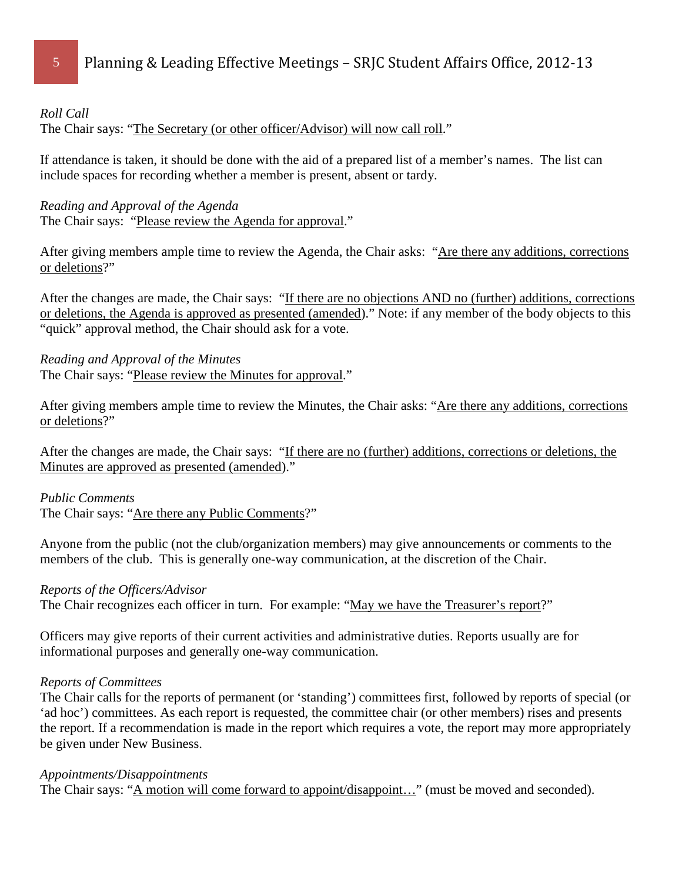*Roll Call*

The Chair says: "The Secretary (or other officer/Advisor) will now call roll."

If attendance is taken, it should be done with the aid of a prepared list of a member's names. The list can include spaces for recording whether a member is present, absent or tardy.

## *Reading and Approval of the Agenda*

The Chair says: "Please review the Agenda for approval."

After giving members ample time to review the Agenda, the Chair asks: "Are there any additions, corrections or deletions?"

After the changes are made, the Chair says: "If there are no objections AND no (further) additions, corrections or deletions, the Agenda is approved as presented (amended)." Note: if any member of the body objects to this "quick" approval method, the Chair should ask for a vote.

*Reading and Approval of the Minutes* The Chair says: "Please review the Minutes for approval."

After giving members ample time to review the Minutes, the Chair asks: "Are there any additions, corrections or deletions?"

After the changes are made, the Chair says: "If there are no (further) additions, corrections or deletions, the Minutes are approved as presented (amended)."

*Public Comments*

The Chair says: "Are there any Public Comments?"

Anyone from the public (not the club/organization members) may give announcements or comments to the members of the club. This is generally one-way communication, at the discretion of the Chair.

## *Reports of the Officers/Advisor*

The Chair recognizes each officer in turn. For example: "May we have the Treasurer's report?"

Officers may give reports of their current activities and administrative duties. Reports usually are for informational purposes and generally one-way communication.

## *Reports of Committees*

The Chair calls for the reports of permanent (or 'standing') committees first, followed by reports of special (or 'ad hoc') committees. As each report is requested, the committee chair (or other members) rises and presents the report. If a recommendation is made in the report which requires a vote, the report may more appropriately be given under New Business.

## *Appointments/Disappointments*

The Chair says: "A motion will come forward to appoint/disappoint..." (must be moved and seconded).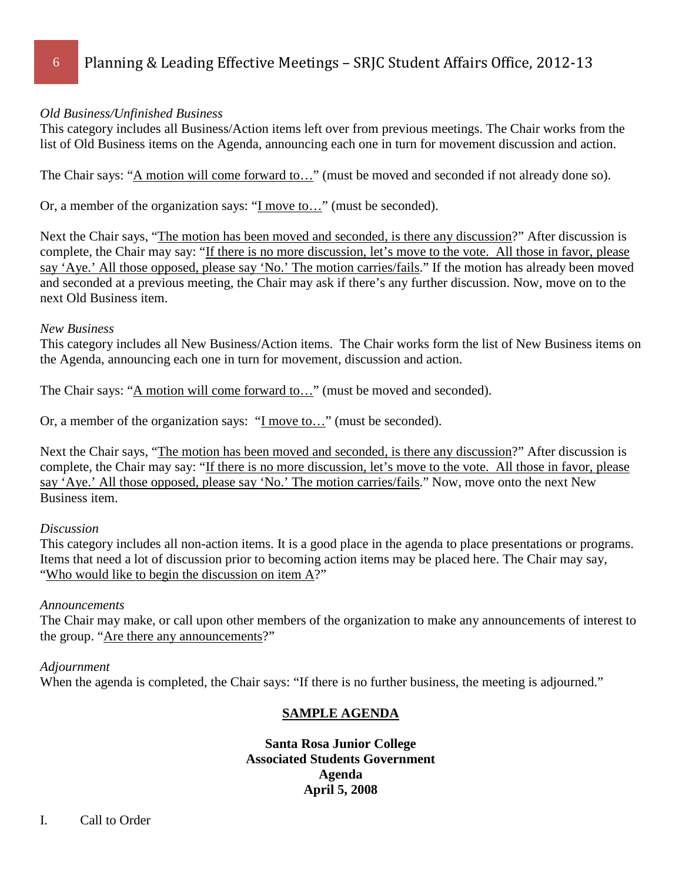## *Old Business/Unfinished Business*

This category includes all Business/Action items left over from previous meetings. The Chair works from the list of Old Business items on the Agenda, announcing each one in turn for movement discussion and action.

The Chair says: "A motion will come forward to..." (must be moved and seconded if not already done so).

Or, a member of the organization says: "I move to..." (must be seconded).

Next the Chair says, "The motion has been moved and seconded, is there any discussion?" After discussion is complete, the Chair may say: "If there is no more discussion, let's move to the vote. All those in favor, please say 'Aye.' All those opposed, please say 'No.' The motion carries/fails." If the motion has already been moved and seconded at a previous meeting, the Chair may ask if there's any further discussion. Now, move on to the next Old Business item.

## *New Business*

This category includes all New Business/Action items. The Chair works form the list of New Business items on the Agenda, announcing each one in turn for movement, discussion and action.

The Chair says: "A motion will come forward to…" (must be moved and seconded).

Or, a member of the organization says: "I move to…" (must be seconded).

Next the Chair says, "The motion has been moved and seconded, is there any discussion?" After discussion is complete, the Chair may say: "If there is no more discussion, let's move to the vote. All those in favor, please say 'Aye.' All those opposed, please say 'No.' The motion carries/fails." Now, move onto the next New Business item.

## *Discussion*

This category includes all non-action items. It is a good place in the agenda to place presentations or programs. Items that need a lot of discussion prior to becoming action items may be placed here. The Chair may say, "Who would like to begin the discussion on item A?"

## *Announcements*

The Chair may make, or call upon other members of the organization to make any announcements of interest to the group. "Are there any announcements?"

## *Adjournment*

When the agenda is completed, the Chair says: "If there is no further business, the meeting is adjourned."

## **SAMPLE AGENDA**

**Santa Rosa Junior College Associated Students Government Agenda April 5, 2008**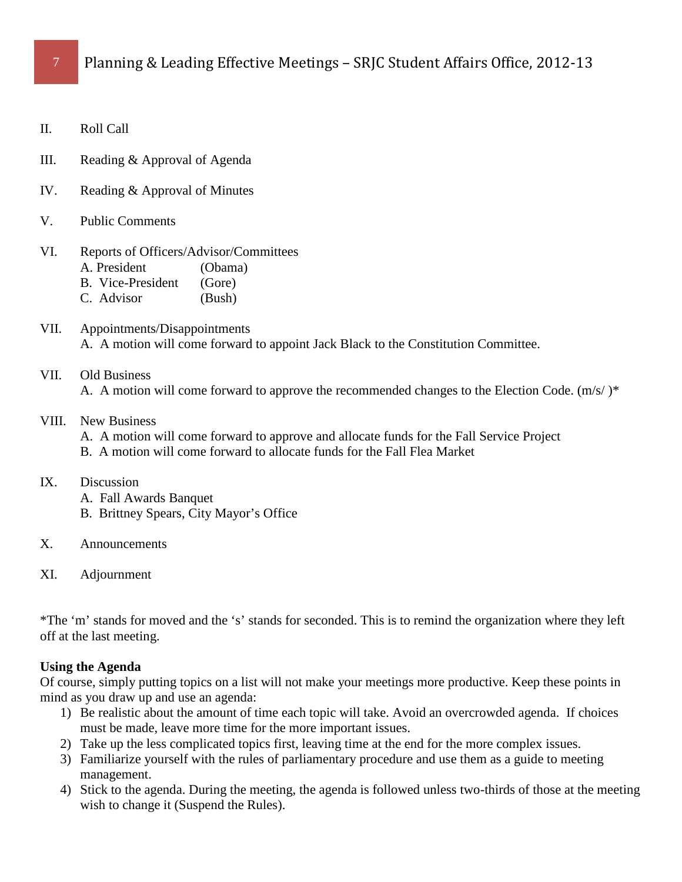- II. Roll Call
- III. Reading & Approval of Agenda
- IV. Reading & Approval of Minutes
- V. Public Comments
- VI. Reports of Officers/Advisor/Committees
	- A. President (Obama)
	- B. Vice-President (Gore)
	- C. Advisor (Bush)
- VII. Appointments/Disappointments A. A motion will come forward to appoint Jack Black to the Constitution Committee.

# VII. Old Business

A. A motion will come forward to approve the recommended changes to the Election Code.  $(m/s)$ <sup>\*</sup>

## VIII. New Business

- A. A motion will come forward to approve and allocate funds for the Fall Service Project
- B. A motion will come forward to allocate funds for the Fall Flea Market
- IX. Discussion
	- A. Fall Awards Banquet
	- B. Brittney Spears, City Mayor's Office
- X. Announcements
- XI. Adjournment

\*The 'm' stands for moved and the 's' stands for seconded. This is to remind the organization where they left off at the last meeting.

# **Using the Agenda**

Of course, simply putting topics on a list will not make your meetings more productive. Keep these points in mind as you draw up and use an agenda:

- 1) Be realistic about the amount of time each topic will take. Avoid an overcrowded agenda. If choices must be made, leave more time for the more important issues.
- 2) Take up the less complicated topics first, leaving time at the end for the more complex issues.
- 3) Familiarize yourself with the rules of parliamentary procedure and use them as a guide to meeting management.
- 4) Stick to the agenda. During the meeting, the agenda is followed unless two-thirds of those at the meeting wish to change it (Suspend the Rules).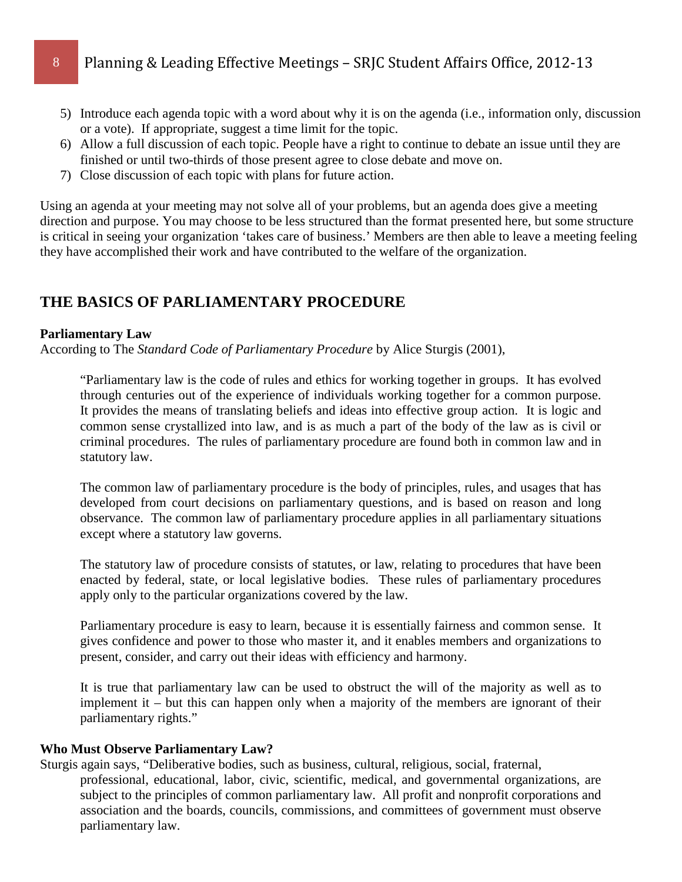# 8 Planning & Leading Effective Meetings – SRJC Student Affairs Office, 2012-13

- 5) Introduce each agenda topic with a word about why it is on the agenda (i.e., information only, discussion or a vote). If appropriate, suggest a time limit for the topic.
- 6) Allow a full discussion of each topic. People have a right to continue to debate an issue until they are finished or until two-thirds of those present agree to close debate and move on.
- 7) Close discussion of each topic with plans for future action.

Using an agenda at your meeting may not solve all of your problems, but an agenda does give a meeting direction and purpose. You may choose to be less structured than the format presented here, but some structure is critical in seeing your organization 'takes care of business.' Members are then able to leave a meeting feeling they have accomplished their work and have contributed to the welfare of the organization.

## **THE BASICS OF PARLIAMENTARY PROCEDURE**

#### **Parliamentary Law**

According to The *Standard Code of Parliamentary Procedure* by Alice Sturgis (2001),

"Parliamentary law is the code of rules and ethics for working together in groups. It has evolved through centuries out of the experience of individuals working together for a common purpose. It provides the means of translating beliefs and ideas into effective group action. It is logic and common sense crystallized into law, and is as much a part of the body of the law as is civil or criminal procedures. The rules of parliamentary procedure are found both in common law and in statutory law.

The common law of parliamentary procedure is the body of principles, rules, and usages that has developed from court decisions on parliamentary questions, and is based on reason and long observance. The common law of parliamentary procedure applies in all parliamentary situations except where a statutory law governs.

The statutory law of procedure consists of statutes, or law, relating to procedures that have been enacted by federal, state, or local legislative bodies. These rules of parliamentary procedures apply only to the particular organizations covered by the law.

Parliamentary procedure is easy to learn, because it is essentially fairness and common sense. It gives confidence and power to those who master it, and it enables members and organizations to present, consider, and carry out their ideas with efficiency and harmony.

It is true that parliamentary law can be used to obstruct the will of the majority as well as to implement it – but this can happen only when a majority of the members are ignorant of their parliamentary rights."

#### **Who Must Observe Parliamentary Law?**

Sturgis again says, "Deliberative bodies, such as business, cultural, religious, social, fraternal,

professional, educational, labor, civic, scientific, medical, and governmental organizations, are subject to the principles of common parliamentary law. All profit and nonprofit corporations and association and the boards, councils, commissions, and committees of government must observe parliamentary law.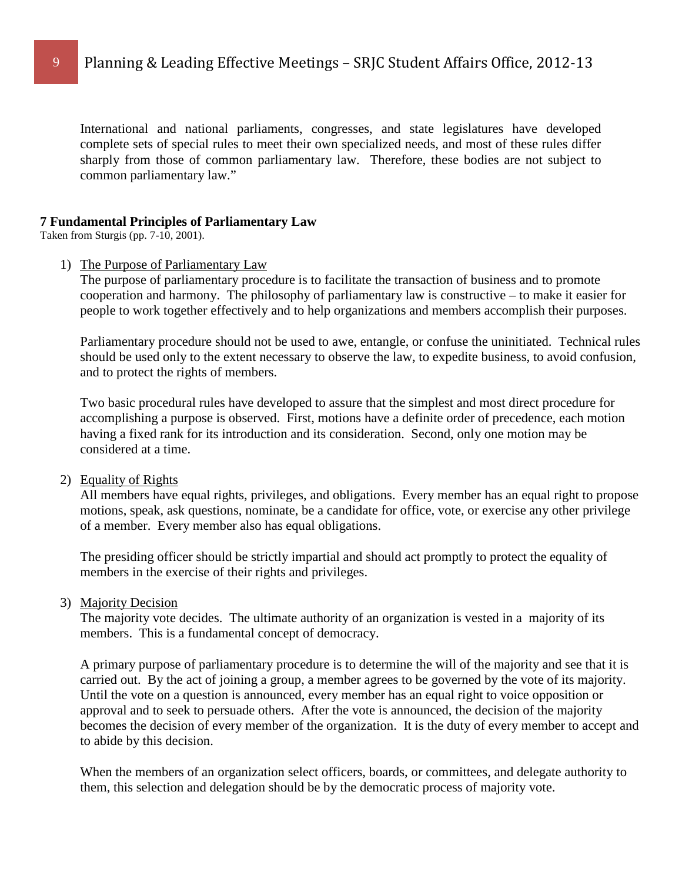International and national parliaments, congresses, and state legislatures have developed complete sets of special rules to meet their own specialized needs, and most of these rules differ sharply from those of common parliamentary law. Therefore, these bodies are not subject to common parliamentary law."

#### **7 Fundamental Principles of Parliamentary Law**

Taken from Sturgis (pp. 7-10, 2001).

1) The Purpose of Parliamentary Law

The purpose of parliamentary procedure is to facilitate the transaction of business and to promote cooperation and harmony. The philosophy of parliamentary law is constructive – to make it easier for people to work together effectively and to help organizations and members accomplish their purposes.

Parliamentary procedure should not be used to awe, entangle, or confuse the uninitiated. Technical rules should be used only to the extent necessary to observe the law, to expedite business, to avoid confusion, and to protect the rights of members.

Two basic procedural rules have developed to assure that the simplest and most direct procedure for accomplishing a purpose is observed. First, motions have a definite order of precedence, each motion having a fixed rank for its introduction and its consideration. Second, only one motion may be considered at a time.

#### 2) Equality of Rights

All members have equal rights, privileges, and obligations. Every member has an equal right to propose motions, speak, ask questions, nominate, be a candidate for office, vote, or exercise any other privilege of a member. Every member also has equal obligations.

The presiding officer should be strictly impartial and should act promptly to protect the equality of members in the exercise of their rights and privileges.

#### 3) Majority Decision

The majority vote decides. The ultimate authority of an organization is vested in a majority of its members. This is a fundamental concept of democracy.

A primary purpose of parliamentary procedure is to determine the will of the majority and see that it is carried out. By the act of joining a group, a member agrees to be governed by the vote of its majority. Until the vote on a question is announced, every member has an equal right to voice opposition or approval and to seek to persuade others. After the vote is announced, the decision of the majority becomes the decision of every member of the organization. It is the duty of every member to accept and to abide by this decision.

When the members of an organization select officers, boards, or committees, and delegate authority to them, this selection and delegation should be by the democratic process of majority vote.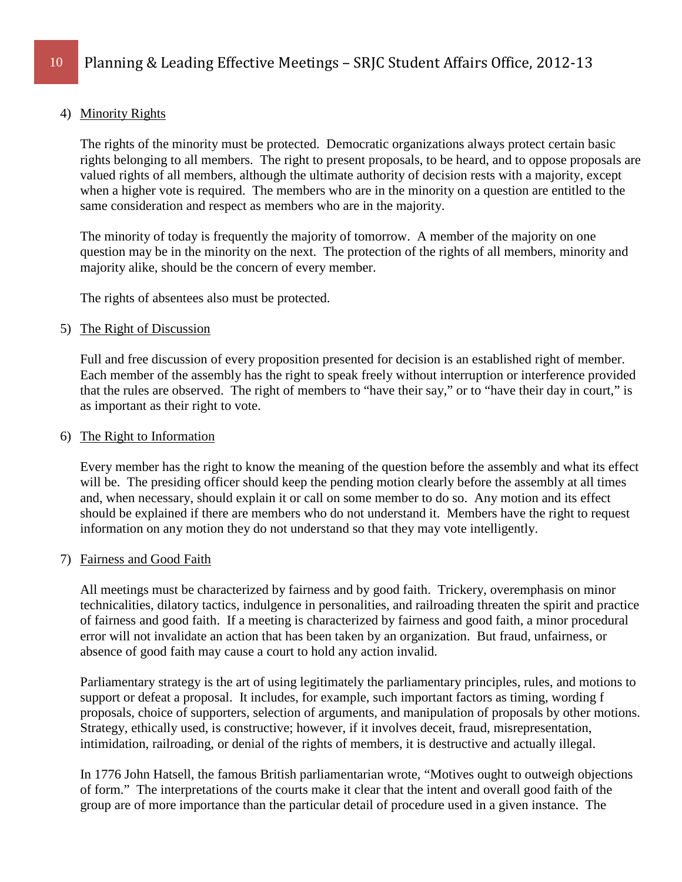# 10 Planning & Leading Effective Meetings – SRJC Student Affairs Office, 2012-13

#### 4) Minority Rights

The rights of the minority must be protected. Democratic organizations always protect certain basic rights belonging to all members. The right to present proposals, to be heard, and to oppose proposals are valued rights of all members, although the ultimate authority of decision rests with a majority, except when a higher vote is required. The members who are in the minority on a question are entitled to the same consideration and respect as members who are in the majority.

The minority of today is frequently the majority of tomorrow. A member of the majority on one question may be in the minority on the next. The protection of the rights of all members, minority and majority alike, should be the concern of every member.

The rights of absentees also must be protected.

#### 5) The Right of Discussion

Full and free discussion of every proposition presented for decision is an established right of member. Each member of the assembly has the right to speak freely without interruption or interference provided that the rules are observed. The right of members to "have their say," or to "have their day in court," is as important as their right to vote.

#### 6) The Right to Information

Every member has the right to know the meaning of the question before the assembly and what its effect will be. The presiding officer should keep the pending motion clearly before the assembly at all times and, when necessary, should explain it or call on some member to do so. Any motion and its effect should be explained if there are members who do not understand it. Members have the right to request information on any motion they do not understand so that they may vote intelligently.

#### 7) Fairness and Good Faith

All meetings must be characterized by fairness and by good faith. Trickery, overemphasis on minor technicalities, dilatory tactics, indulgence in personalities, and railroading threaten the spirit and practice of fairness and good faith. If a meeting is characterized by fairness and good faith, a minor procedural error will not invalidate an action that has been taken by an organization. But fraud, unfairness, or absence of good faith may cause a court to hold any action invalid.

Parliamentary strategy is the art of using legitimately the parliamentary principles, rules, and motions to support or defeat a proposal. It includes, for example, such important factors as timing, wording f proposals, choice of supporters, selection of arguments, and manipulation of proposals by other motions. Strategy, ethically used, is constructive; however, if it involves deceit, fraud, misrepresentation, intimidation, railroading, or denial of the rights of members, it is destructive and actually illegal.

In 1776 John Hatsell, the famous British parliamentarian wrote, "Motives ought to outweigh objections of form." The interpretations of the courts make it clear that the intent and overall good faith of the group are of more importance than the particular detail of procedure used in a given instance. The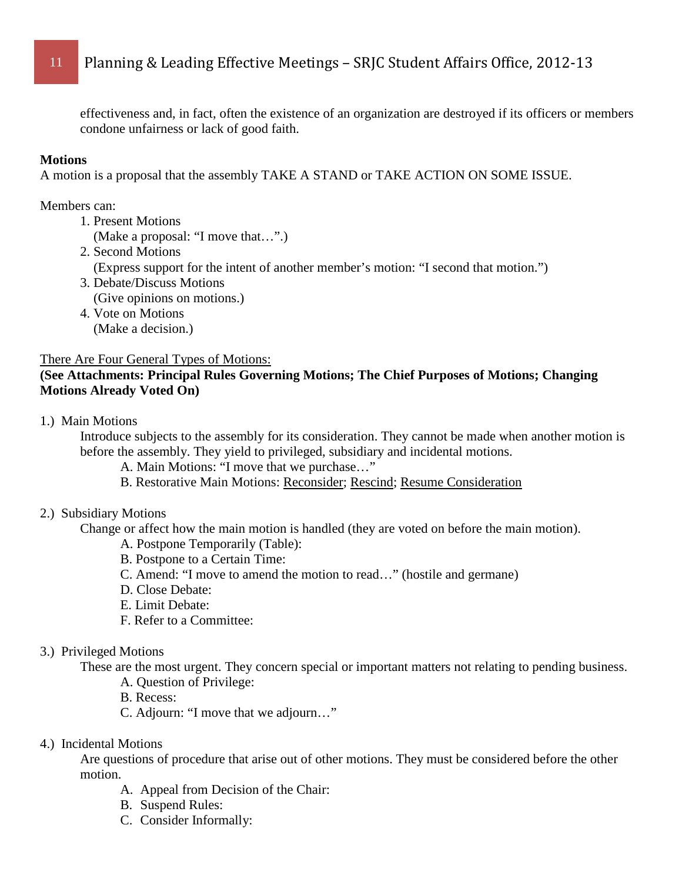effectiveness and, in fact, often the existence of an organization are destroyed if its officers or members condone unfairness or lack of good faith.

## **Motions**

A motion is a proposal that the assembly TAKE A STAND or TAKE ACTION ON SOME ISSUE.

Members can:

- 1. Present Motions
	- (Make a proposal: "I move that…".)
- 2. Second Motions (Express support for the intent of another member's motion: "I second that motion.")
- 3. Debate/Discuss Motions (Give opinions on motions.)
- 4. Vote on Motions (Make a decision.)

## There Are Four General Types of Motions:

## **(See Attachments: Principal Rules Governing Motions; The Chief Purposes of Motions; Changing Motions Already Voted On)**

1.) Main Motions

Introduce subjects to the assembly for its consideration. They cannot be made when another motion is before the assembly. They yield to privileged, subsidiary and incidental motions.

- A. Main Motions: "I move that we purchase…"
- B. Restorative Main Motions: Reconsider; Rescind; Resume Consideration
- 2.) Subsidiary Motions

Change or affect how the main motion is handled (they are voted on before the main motion).

- A. Postpone Temporarily (Table):
- B. Postpone to a Certain Time:
- C. Amend: "I move to amend the motion to read…" (hostile and germane)
- D. Close Debate:
- E. Limit Debate:
- F. Refer to a Committee:

## 3.) Privileged Motions

These are the most urgent. They concern special or important matters not relating to pending business.

- A. Question of Privilege:
- B. Recess:
- C. Adjourn: "I move that we adjourn…"
- 4.) Incidental Motions

Are questions of procedure that arise out of other motions. They must be considered before the other motion.

- A. Appeal from Decision of the Chair:
- B. Suspend Rules:
- C. Consider Informally: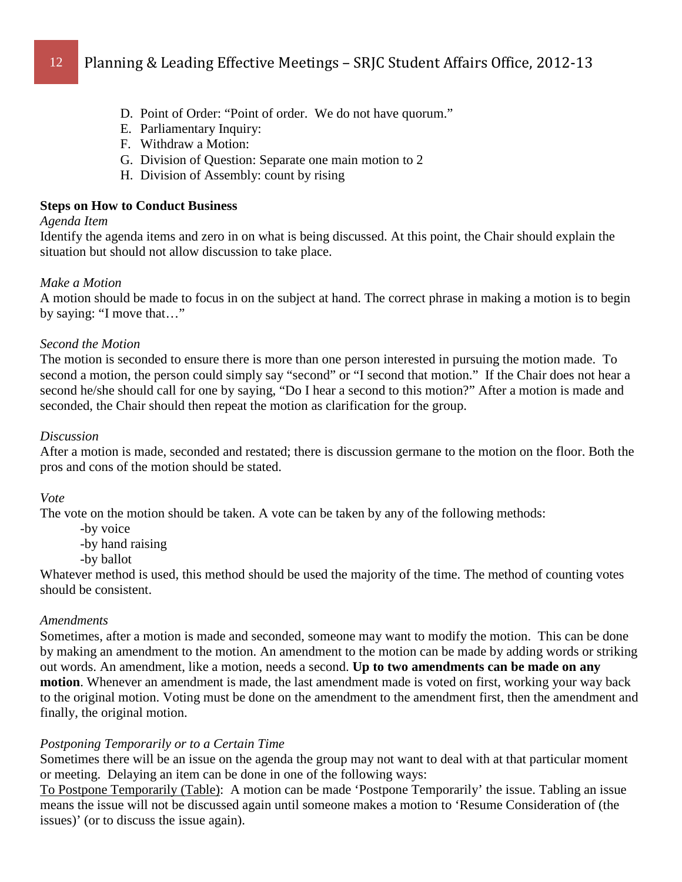- D. Point of Order: "Point of order. We do not have quorum."
- E. Parliamentary Inquiry:
- F. Withdraw a Motion:
- G. Division of Question: Separate one main motion to 2
- H. Division of Assembly: count by rising

#### **Steps on How to Conduct Business**

#### *Agenda Item*

Identify the agenda items and zero in on what is being discussed. At this point, the Chair should explain the situation but should not allow discussion to take place.

### *Make a Motion*

A motion should be made to focus in on the subject at hand. The correct phrase in making a motion is to begin by saying: "I move that…"

### *Second the Motion*

The motion is seconded to ensure there is more than one person interested in pursuing the motion made. To second a motion, the person could simply say "second" or "I second that motion." If the Chair does not hear a second he/she should call for one by saying, "Do I hear a second to this motion?" After a motion is made and seconded, the Chair should then repeat the motion as clarification for the group.

#### *Discussion*

After a motion is made, seconded and restated; there is discussion germane to the motion on the floor. Both the pros and cons of the motion should be stated.

#### *Vote*

The vote on the motion should be taken. A vote can be taken by any of the following methods:

-by voice

-by hand raising

-by ballot

Whatever method is used, this method should be used the majority of the time. The method of counting votes should be consistent.

#### *Amendments*

Sometimes, after a motion is made and seconded, someone may want to modify the motion. This can be done by making an amendment to the motion. An amendment to the motion can be made by adding words or striking out words. An amendment, like a motion, needs a second. **Up to two amendments can be made on any motion**. Whenever an amendment is made, the last amendment made is voted on first, working your way back to the original motion. Voting must be done on the amendment to the amendment first, then the amendment and finally, the original motion.

## *Postponing Temporarily or to a Certain Time*

Sometimes there will be an issue on the agenda the group may not want to deal with at that particular moment or meeting. Delaying an item can be done in one of the following ways:

To Postpone Temporarily (Table): A motion can be made 'Postpone Temporarily' the issue. Tabling an issue means the issue will not be discussed again until someone makes a motion to 'Resume Consideration of (the issues)' (or to discuss the issue again).